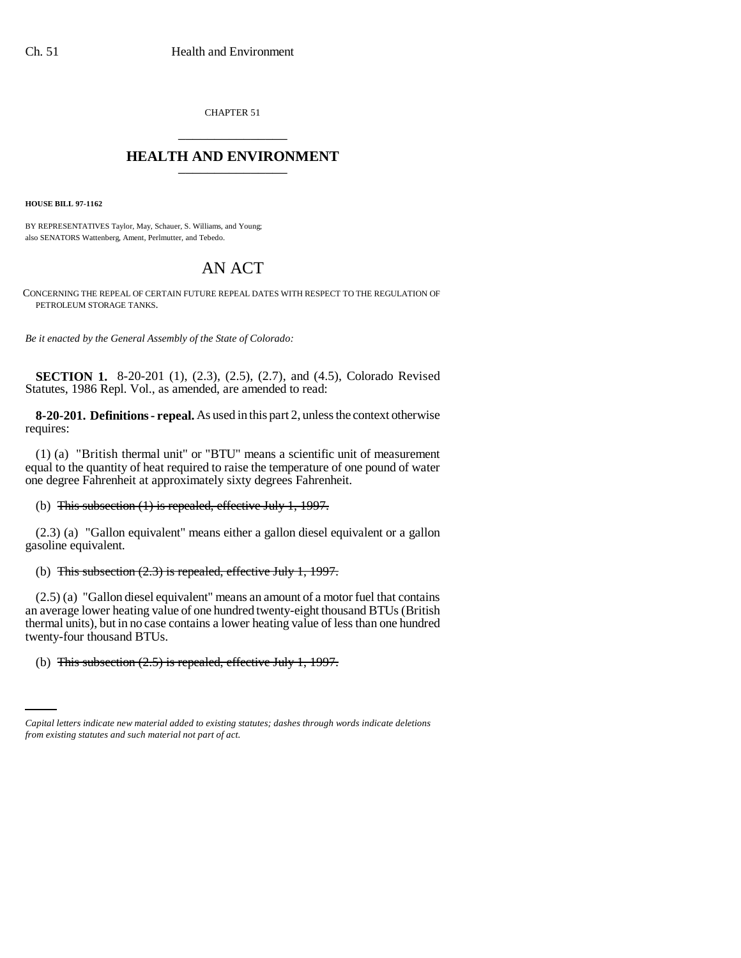CHAPTER 51 \_\_\_\_\_\_\_\_\_\_\_\_\_\_\_

## **HEALTH AND ENVIRONMENT** \_\_\_\_\_\_\_\_\_\_\_\_\_\_\_

**HOUSE BILL 97-1162**

BY REPRESENTATIVES Taylor, May, Schauer, S. Williams, and Young; also SENATORS Wattenberg, Ament, Perlmutter, and Tebedo.

## AN ACT

CONCERNING THE REPEAL OF CERTAIN FUTURE REPEAL DATES WITH RESPECT TO THE REGULATION OF PETROLEUM STORAGE TANKS.

*Be it enacted by the General Assembly of the State of Colorado:*

**SECTION 1.** 8-20-201 (1), (2.3), (2.5), (2.7), and (4.5), Colorado Revised Statutes, 1986 Repl. Vol., as amended, are amended to read:

**8-20-201. Definitions - repeal.** As used in this part 2, unless the context otherwise requires:

(1) (a) "British thermal unit" or "BTU" means a scientific unit of measurement equal to the quantity of heat required to raise the temperature of one pound of water one degree Fahrenheit at approximately sixty degrees Fahrenheit.

## (b) This subsection (1) is repealed, effective July 1, 1997.

(2.3) (a) "Gallon equivalent" means either a gallon diesel equivalent or a gallon gasoline equivalent.

## (b) This subsection (2.3) is repealed, effective July 1, 1997.

 $\cdots$ (2.5) (a) "Gallon diesel equivalent" means an amount of a motor fuel that contains an average lower heating value of one hundred twenty-eight thousand BTUs (British thermal units), but in no case contains a lower heating value of less than one hundred twenty-four thousand BTUs.

(b) This subsection  $(2.5)$  is repealed, effective July 1, 1997.

*Capital letters indicate new material added to existing statutes; dashes through words indicate deletions from existing statutes and such material not part of act.*